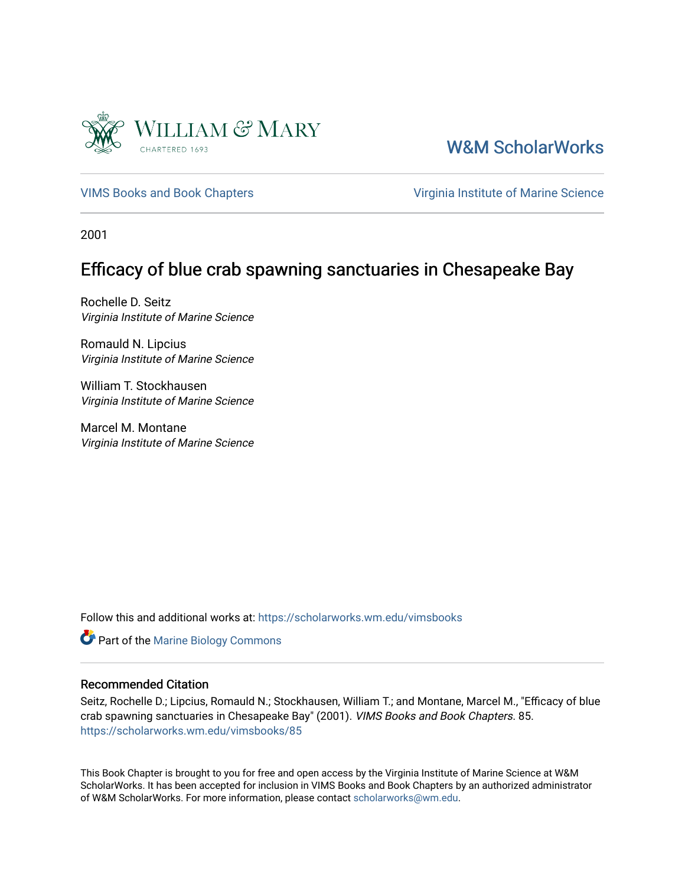

[W&M ScholarWorks](https://scholarworks.wm.edu/) 

[VIMS Books and Book Chapters](https://scholarworks.wm.edu/vimsbooks) **Vice 2018** Virginia Institute of Marine Science

2001

## Efficacy of blue crab spawning sanctuaries in Chesapeake Bay

Rochelle D. Seitz Virginia Institute of Marine Science

Romauld N. Lipcius Virginia Institute of Marine Science

William T. Stockhausen Virginia Institute of Marine Science

Marcel M. Montane Virginia Institute of Marine Science

Follow this and additional works at: [https://scholarworks.wm.edu/vimsbooks](https://scholarworks.wm.edu/vimsbooks?utm_source=scholarworks.wm.edu%2Fvimsbooks%2F85&utm_medium=PDF&utm_campaign=PDFCoverPages) 

**Part of the Marine Biology Commons** 

### Recommended Citation

Seitz, Rochelle D.; Lipcius, Romauld N.; Stockhausen, William T.; and Montane, Marcel M., "Efficacy of blue crab spawning sanctuaries in Chesapeake Bay" (2001). VIMS Books and Book Chapters. 85. [https://scholarworks.wm.edu/vimsbooks/85](https://scholarworks.wm.edu/vimsbooks/85?utm_source=scholarworks.wm.edu%2Fvimsbooks%2F85&utm_medium=PDF&utm_campaign=PDFCoverPages) 

This Book Chapter is brought to you for free and open access by the Virginia Institute of Marine Science at W&M ScholarWorks. It has been accepted for inclusion in VIMS Books and Book Chapters by an authorized administrator of W&M ScholarWorks. For more information, please contact [scholarworks@wm.edu.](mailto:scholarworks@wm.edu)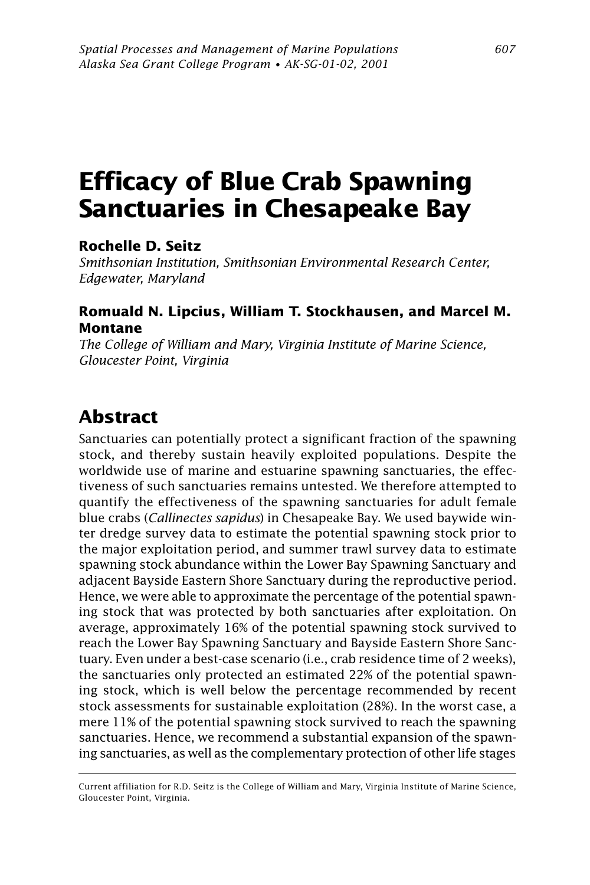# **Efficacy of Blue Crab Spawning Sanctuaries in Chesapeake Bay**

#### **Rochelle D. Seitz**

*Smithsonian Institution, Smithsonian Environmental Research Center, Edgewater, Maryland*

#### **Romuald N. Lipcius, William T. Stockhausen, and Marcel M. Montane**

*The College of William and Mary, Virginia Institute of Marine Science, Gloucester Point, Virginia*

## **Abstract**

Sanctuaries can potentially protect a significant fraction of the spawning stock, and thereby sustain heavily exploited populations. Despite the worldwide use of marine and estuarine spawning sanctuaries, the effectiveness of such sanctuaries remains untested. We therefore attempted to quantify the effectiveness of the spawning sanctuaries for adult female blue crabs (*Callinectes sapidus*) in Chesapeake Bay. We used baywide winter dredge survey data to estimate the potential spawning stock prior to the major exploitation period, and summer trawl survey data to estimate spawning stock abundance within the Lower Bay Spawning Sanctuary and adjacent Bayside Eastern Shore Sanctuary during the reproductive period. Hence, we were able to approximate the percentage of the potential spawning stock that was protected by both sanctuaries after exploitation. On average, approximately 16% of the potential spawning stock survived to reach the Lower Bay Spawning Sanctuary and Bayside Eastern Shore Sanctuary. Even under a best-case scenario (i.e., crab residence time of 2 weeks), the sanctuaries only protected an estimated 22% of the potential spawning stock, which is well below the percentage recommended by recent stock assessments for sustainable exploitation (28%). In the worst case, a mere 11% of the potential spawning stock survived to reach the spawning sanctuaries. Hence, we recommend a substantial expansion of the spawning sanctuaries, as well as the complementary protection of other life stages

Current affiliation for R.D. Seitz is the College of William and Mary, Virginia Institute of Marine Science, Gloucester Point, Virginia.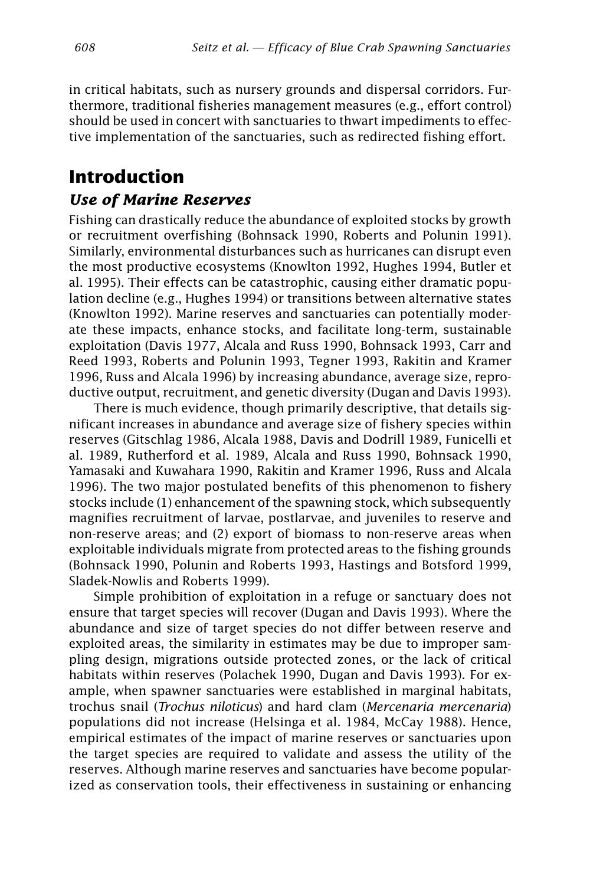in critical habitats, such as nursery grounds and dispersal corridors. Furthermore, traditional fisheries management measures (e.g., effort control) should be used in concert with sanctuaries to thwart impediments to effective implementation of the sanctuaries, such as redirected fishing effort.

## **Introduction**

#### *Use of Marine Reserves*

Fishing can drastically reduce the abundance of exploited stocks by growth or recruitment overfishing (Bohnsack 1990, Roberts and Polunin 1991). Similarly, environmental disturbances such as hurricanes can disrupt even the most productive ecosystems (Knowlton 1992, Hughes 1994, Butler et al. 1995). Their effects can be catastrophic, causing either dramatic population decline (e.g., Hughes 1994) or transitions between alternative states (Knowlton 1992). Marine reserves and sanctuaries can potentially moderate these impacts, enhance stocks, and facilitate long-term, sustainable exploitation (Davis 1977, Alcala and Russ 1990, Bohnsack 1993, Carr and Reed 1993, Roberts and Polunin 1993, Tegner 1993, Rakitin and Kramer 1996, Russ and Alcala 1996) by increasing abundance, average size, reproductive output, recruitment, and genetic diversity (Dugan and Davis 1993).

There is much evidence, though primarily descriptive, that details significant increases in abundance and average size of fishery species within reserves (Gitschlag 1986, Alcala 1988, Davis and Dodrill 1989, Funicelli et al. 1989, Rutherford et al. 1989, Alcala and Russ 1990, Bohnsack 1990, Yamasaki and Kuwahara 1990, Rakitin and Kramer 1996, Russ and Alcala 1996). The two major postulated benefits of this phenomenon to fishery stocks include (1) enhancement of the spawning stock, which subsequently magnifies recruitment of larvae, postlarvae, and juveniles to reserve and non-reserve areas; and (2) export of biomass to non-reserve areas when exploitable individuals migrate from protected areas to the fishing grounds (Bohnsack 1990, Polunin and Roberts 1993, Hastings and Botsford 1999, Sladek-Nowlis and Roberts 1999).

Simple prohibition of exploitation in a refuge or sanctuary does not ensure that target species will recover (Dugan and Davis 1993). Where the abundance and size of target species do not differ between reserve and exploited areas, the similarity in estimates may be due to improper sampling design, migrations outside protected zones, or the lack of critical habitats within reserves (Polachek 1990, Dugan and Davis 1993). For example, when spawner sanctuaries were established in marginal habitats, trochus snail (*Trochus niloticus*) and hard clam (*Mercenaria mercenaria*) populations did not increase (Helsinga et al. 1984, McCay 1988). Hence, empirical estimates of the impact of marine reserves or sanctuaries upon the target species are required to validate and assess the utility of the reserves. Although marine reserves and sanctuaries have become popularized as conservation tools, their effectiveness in sustaining or enhancing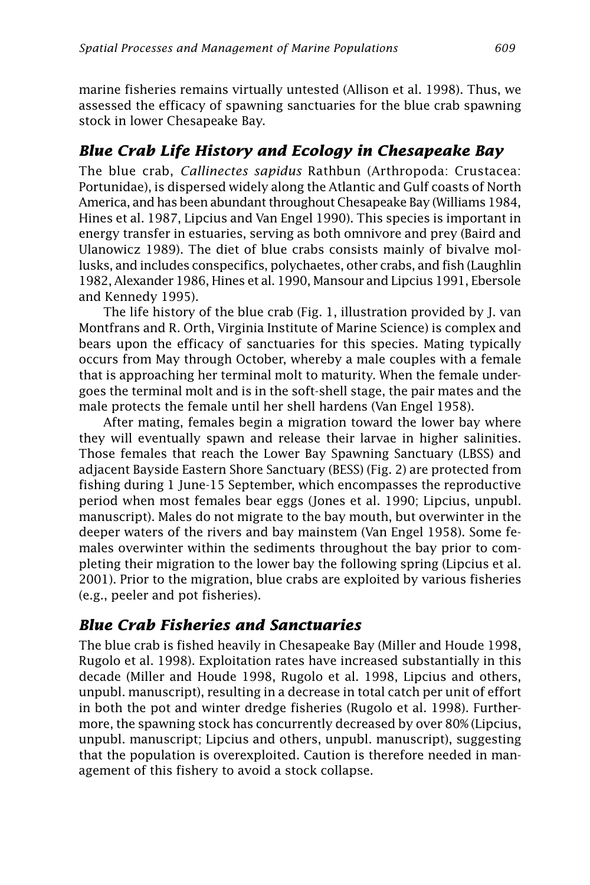marine fisheries remains virtually untested (Allison et al. 1998). Thus, we assessed the efficacy of spawning sanctuaries for the blue crab spawning stock in lower Chesapeake Bay.

### *Blue Crab Life History and Ecology in Chesapeake Bay*

The blue crab, *Callinectes sapidus* Rathbun (Arthropoda: Crustacea: Portunidae), is dispersed widely along the Atlantic and Gulf coasts of North America, and has been abundant throughout Chesapeake Bay (Williams 1984, Hines et al. 1987, Lipcius and Van Engel 1990). This species is important in energy transfer in estuaries, serving as both omnivore and prey (Baird and Ulanowicz 1989). The diet of blue crabs consists mainly of bivalve mollusks, and includes conspecifics, polychaetes, other crabs, and fish (Laughlin 1982, Alexander 1986, Hines et al. 1990, Mansour and Lipcius 1991, Ebersole and Kennedy 1995).

The life history of the blue crab (Fig. 1, illustration provided by J. van Montfrans and R. Orth, Virginia Institute of Marine Science) is complex and bears upon the efficacy of sanctuaries for this species. Mating typically occurs from May through October, whereby a male couples with a female that is approaching her terminal molt to maturity. When the female undergoes the terminal molt and is in the soft-shell stage, the pair mates and the male protects the female until her shell hardens (Van Engel 1958).

After mating, females begin a migration toward the lower bay where they will eventually spawn and release their larvae in higher salinities. Those females that reach the Lower Bay Spawning Sanctuary (LBSS) and adjacent Bayside Eastern Shore Sanctuary (BESS) (Fig. 2) are protected from fishing during 1 June-15 September, which encompasses the reproductive period when most females bear eggs (Jones et al. 1990; Lipcius, unpubl. manuscript). Males do not migrate to the bay mouth, but overwinter in the deeper waters of the rivers and bay mainstem (Van Engel 1958). Some females overwinter within the sediments throughout the bay prior to completing their migration to the lower bay the following spring (Lipcius et al. 2001). Prior to the migration, blue crabs are exploited by various fisheries (e.g., peeler and pot fisheries).

## *Blue Crab Fisheries and Sanctuaries*

The blue crab is fished heavily in Chesapeake Bay (Miller and Houde 1998, Rugolo et al. 1998). Exploitation rates have increased substantially in this decade (Miller and Houde 1998, Rugolo et al. 1998, Lipcius and others, unpubl. manuscript), resulting in a decrease in total catch per unit of effort in both the pot and winter dredge fisheries (Rugolo et al. 1998). Furthermore, the spawning stock has concurrently decreased by over 80% (Lipcius, unpubl. manuscript; Lipcius and others, unpubl. manuscript), suggesting that the population is overexploited. Caution is therefore needed in management of this fishery to avoid a stock collapse.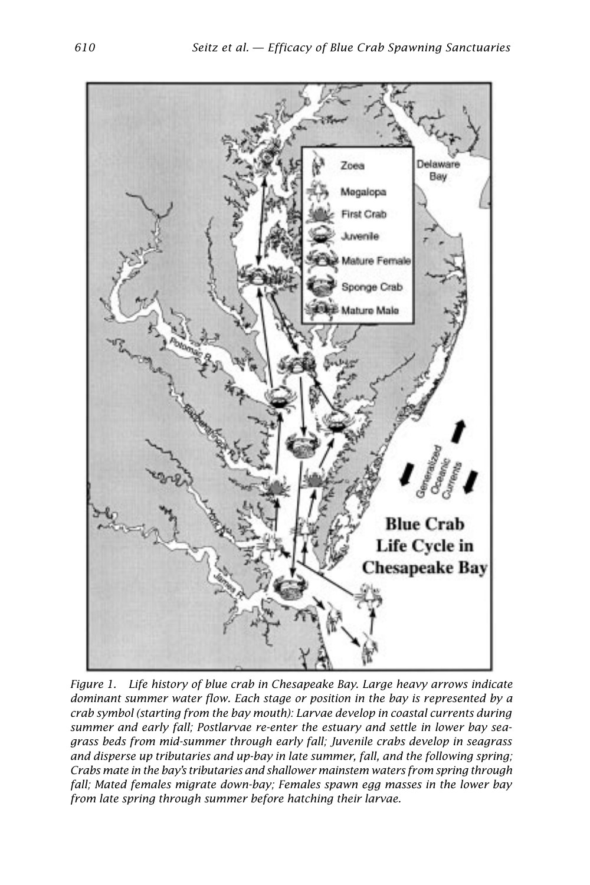

*Figure 1. Life history of blue crab in Chesapeake Bay. Large heavy arrows indicate dominant summer water flow. Each stage or position in the bay is represented by a crab symbol (starting from the bay mouth): Larvae develop in coastal currents during summer and early fall; Postlarvae re-enter the estuary and settle in lower bay seagrass beds from mid-summer through early fall; Juvenile crabs develop in seagrass and disperse up tributaries and up-bay in late summer, fall, and the following spring; Crabs mate in the bay's tributaries and shallower mainstem waters from spring through fall; Mated females migrate down-bay; Females spawn egg masses in the lower bay from late spring through summer before hatching their larvae.*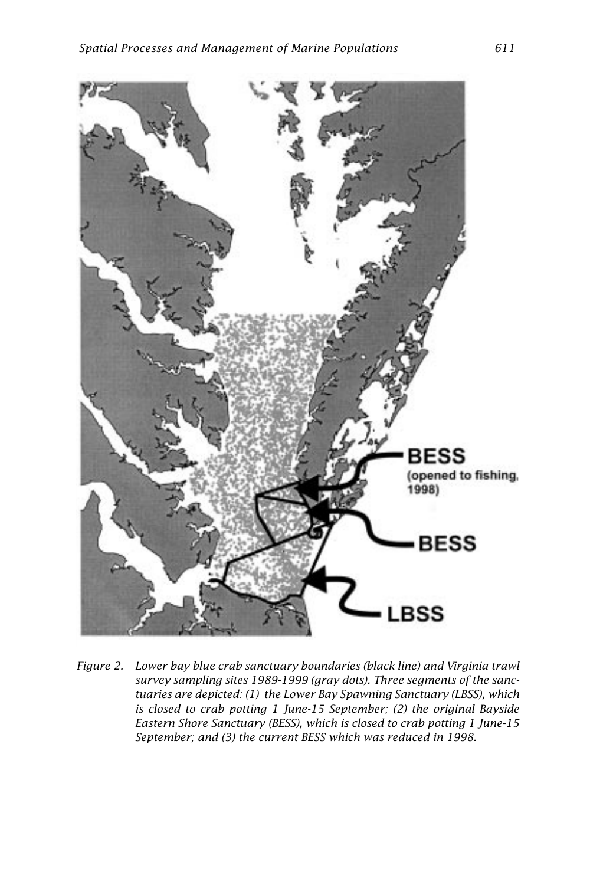

*Figure 2. Lower bay blue crab sanctuary boundaries (black line) and Virginia trawl survey sampling sites 1989-1999 (gray dots). Three segments of the sanctuaries are depicted: (1) the Lower Bay Spawning Sanctuary (LBSS), which is closed to crab potting 1 June-15 September; (2) the original Bayside Eastern Shore Sanctuary (BESS), which is closed to crab potting 1 June-15 September; and (3) the current BESS which was reduced in 1998.*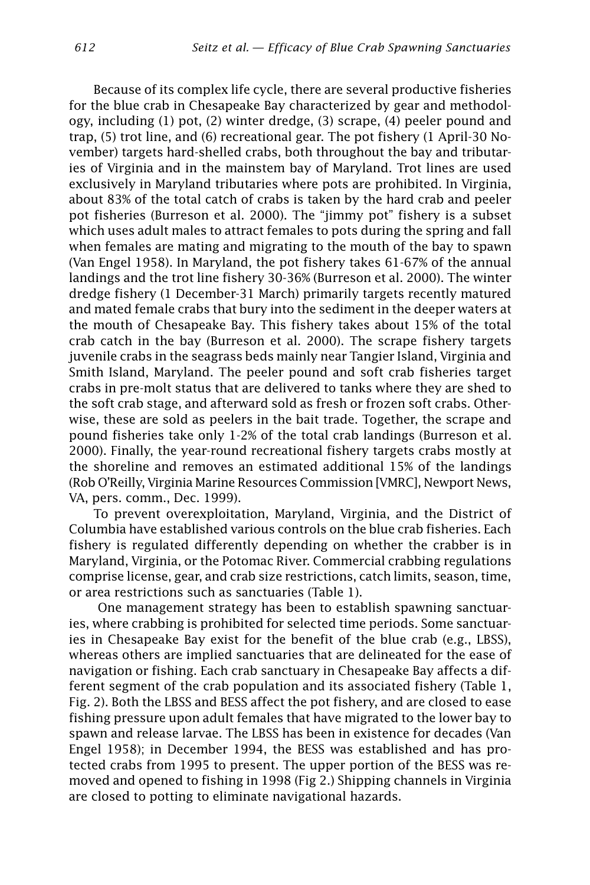Because of its complex life cycle, there are several productive fisheries for the blue crab in Chesapeake Bay characterized by gear and methodology, including (1) pot, (2) winter dredge, (3) scrape, (4) peeler pound and trap, (5) trot line, and (6) recreational gear. The pot fishery (1 April-30 November) targets hard-shelled crabs, both throughout the bay and tributaries of Virginia and in the mainstem bay of Maryland. Trot lines are used exclusively in Maryland tributaries where pots are prohibited. In Virginia, about 83% of the total catch of crabs is taken by the hard crab and peeler pot fisheries (Burreson et al. 2000). The "jimmy pot" fishery is a subset which uses adult males to attract females to pots during the spring and fall when females are mating and migrating to the mouth of the bay to spawn (Van Engel 1958). In Maryland, the pot fishery takes 61-67% of the annual landings and the trot line fishery 30-36% (Burreson et al. 2000). The winter dredge fishery (1 December-31 March) primarily targets recently matured and mated female crabs that bury into the sediment in the deeper waters at the mouth of Chesapeake Bay. This fishery takes about 15% of the total crab catch in the bay (Burreson et al. 2000). The scrape fishery targets juvenile crabs in the seagrass beds mainly near Tangier Island, Virginia and Smith Island, Maryland. The peeler pound and soft crab fisheries target crabs in pre-molt status that are delivered to tanks where they are shed to the soft crab stage, and afterward sold as fresh or frozen soft crabs. Otherwise, these are sold as peelers in the bait trade. Together, the scrape and pound fisheries take only 1-2% of the total crab landings (Burreson et al. 2000). Finally, the year-round recreational fishery targets crabs mostly at the shoreline and removes an estimated additional 15% of the landings (Rob O'Reilly, Virginia Marine Resources Commission [VMRC], Newport News, VA, pers. comm., Dec. 1999).

To prevent overexploitation, Maryland, Virginia, and the District of Columbia have established various controls on the blue crab fisheries. Each fishery is regulated differently depending on whether the crabber is in Maryland, Virginia, or the Potomac River. Commercial crabbing regulations comprise license, gear, and crab size restrictions, catch limits, season, time, or area restrictions such as sanctuaries (Table 1).

 One management strategy has been to establish spawning sanctuaries, where crabbing is prohibited for selected time periods. Some sanctuaries in Chesapeake Bay exist for the benefit of the blue crab (e.g., LBSS), whereas others are implied sanctuaries that are delineated for the ease of navigation or fishing. Each crab sanctuary in Chesapeake Bay affects a different segment of the crab population and its associated fishery (Table 1, Fig. 2). Both the LBSS and BESS affect the pot fishery, and are closed to ease fishing pressure upon adult females that have migrated to the lower bay to spawn and release larvae. The LBSS has been in existence for decades (Van Engel 1958); in December 1994, the BESS was established and has protected crabs from 1995 to present. The upper portion of the BESS was removed and opened to fishing in 1998 (Fig 2.) Shipping channels in Virginia are closed to potting to eliminate navigational hazards.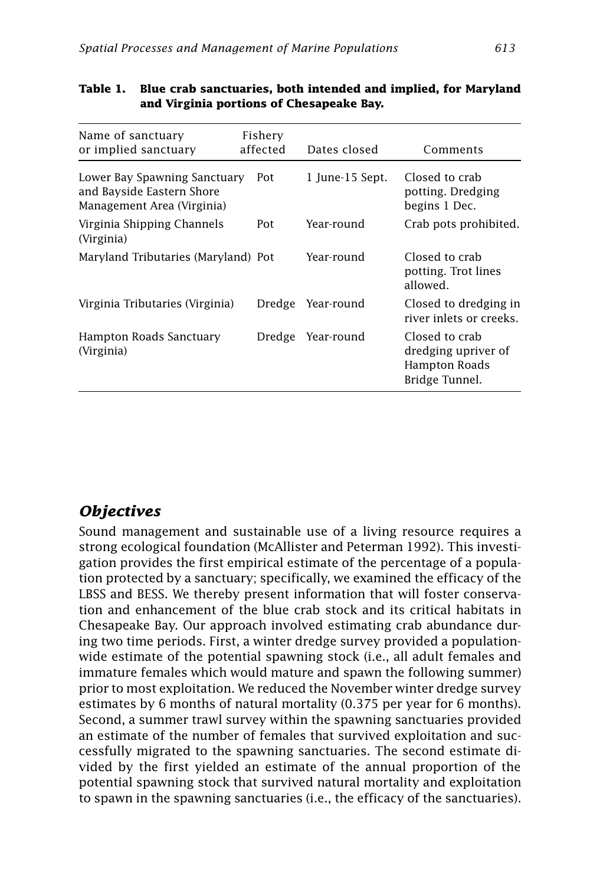| Name of sanctuary<br>or implied sanctuary                                               | Fishery<br>affected | Dates closed      | Comments                                                                 |
|-----------------------------------------------------------------------------------------|---------------------|-------------------|--------------------------------------------------------------------------|
| Lower Bay Spawning Sanctuary<br>and Bayside Eastern Shore<br>Management Area (Virginia) | Pot                 | 1 June-15 Sept.   | Closed to crab<br>potting. Dredging<br>begins 1 Dec.                     |
| Virginia Shipping Channels<br>(Virginia)                                                | Pot                 | Year-round        | Crab pots prohibited.                                                    |
| Maryland Tributaries (Maryland) Pot                                                     |                     | Year-round        | Closed to crab<br>potting. Trot lines<br>allowed.                        |
| Virginia Tributaries (Virginia)                                                         |                     | Dredge Year-round | Closed to dredging in<br>river inlets or creeks.                         |
| Hampton Roads Sanctuary<br>(Virginia)                                                   | Dredge              | Year-round        | Closed to crab<br>dredging upriver of<br>Hampton Roads<br>Bridge Tunnel. |

#### **Table 1. Blue crab sanctuaries, both intended and implied, for Maryland and Virginia portions of Chesapeake Bay.**

## *Objectives*

Sound management and sustainable use of a living resource requires a strong ecological foundation (McAllister and Peterman 1992). This investigation provides the first empirical estimate of the percentage of a population protected by a sanctuary; specifically, we examined the efficacy of the LBSS and BESS. We thereby present information that will foster conservation and enhancement of the blue crab stock and its critical habitats in Chesapeake Bay. Our approach involved estimating crab abundance during two time periods. First, a winter dredge survey provided a populationwide estimate of the potential spawning stock (i.e., all adult females and immature females which would mature and spawn the following summer) prior to most exploitation. We reduced the November winter dredge survey estimates by 6 months of natural mortality (0.375 per year for 6 months). Second, a summer trawl survey within the spawning sanctuaries provided an estimate of the number of females that survived exploitation and successfully migrated to the spawning sanctuaries. The second estimate divided by the first yielded an estimate of the annual proportion of the potential spawning stock that survived natural mortality and exploitation to spawn in the spawning sanctuaries (i.e., the efficacy of the sanctuaries).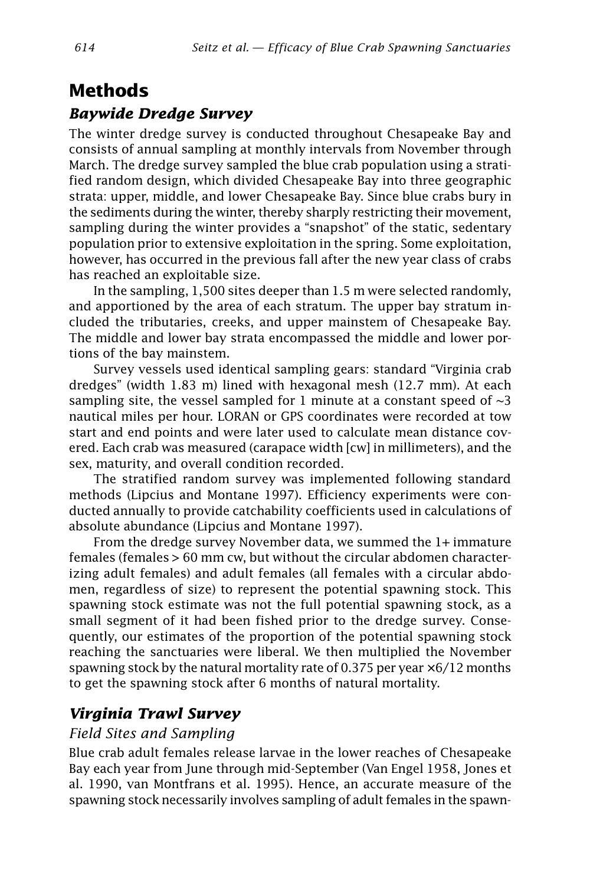## **Methods**

### *Baywide Dredge Survey*

The winter dredge survey is conducted throughout Chesapeake Bay and consists of annual sampling at monthly intervals from November through March. The dredge survey sampled the blue crab population using a stratified random design, which divided Chesapeake Bay into three geographic strata: upper, middle, and lower Chesapeake Bay. Since blue crabs bury in the sediments during the winter, thereby sharply restricting their movement, sampling during the winter provides a "snapshot" of the static, sedentary population prior to extensive exploitation in the spring. Some exploitation, however, has occurred in the previous fall after the new year class of crabs has reached an exploitable size.

In the sampling, 1,500 sites deeper than 1.5 m were selected randomly, and apportioned by the area of each stratum. The upper bay stratum included the tributaries, creeks, and upper mainstem of Chesapeake Bay. The middle and lower bay strata encompassed the middle and lower portions of the bay mainstem.

Survey vessels used identical sampling gears: standard "Virginia crab dredges" (width 1.83 m) lined with hexagonal mesh (12.7 mm). At each sampling site, the vessel sampled for 1 minute at a constant speed of  $\sim$ 3 nautical miles per hour. LORAN or GPS coordinates were recorded at tow start and end points and were later used to calculate mean distance covered. Each crab was measured (carapace width [cw] in millimeters), and the sex, maturity, and overall condition recorded.

The stratified random survey was implemented following standard methods (Lipcius and Montane 1997). Efficiency experiments were conducted annually to provide catchability coefficients used in calculations of absolute abundance (Lipcius and Montane 1997).

From the dredge survey November data, we summed the 1+ immature females (females > 60 mm cw, but without the circular abdomen characterizing adult females) and adult females (all females with a circular abdomen, regardless of size) to represent the potential spawning stock. This spawning stock estimate was not the full potential spawning stock, as a small segment of it had been fished prior to the dredge survey. Consequently, our estimates of the proportion of the potential spawning stock reaching the sanctuaries were liberal. We then multiplied the November spawning stock by the natural mortality rate of 0.375 per year  $\times$  6/12 months to get the spawning stock after 6 months of natural mortality.

## *Virginia Trawl Survey*

#### *Field Sites and Sampling*

Blue crab adult females release larvae in the lower reaches of Chesapeake Bay each year from June through mid-September (Van Engel 1958, Jones et al. 1990, van Montfrans et al. 1995). Hence, an accurate measure of the spawning stock necessarily involves sampling of adult females in the spawn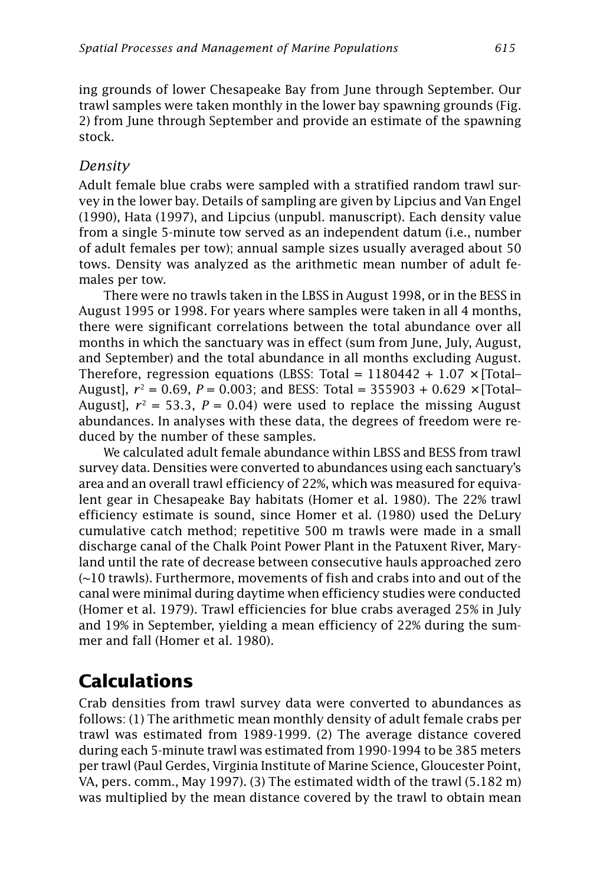ing grounds of lower Chesapeake Bay from June through September. Our trawl samples were taken monthly in the lower bay spawning grounds (Fig. 2) from June through September and provide an estimate of the spawning stock.

#### *Density*

Adult female blue crabs were sampled with a stratified random trawl survey in the lower bay. Details of sampling are given by Lipcius and Van Engel (1990), Hata (1997), and Lipcius (unpubl. manuscript). Each density value from a single 5-minute tow served as an independent datum (i.e., number of adult females per tow); annual sample sizes usually averaged about 50 tows. Density was analyzed as the arithmetic mean number of adult females per tow.

There were no trawls taken in the LBSS in August 1998, or in the BESS in August 1995 or 1998. For years where samples were taken in all 4 months, there were significant correlations between the total abundance over all months in which the sanctuary was in effect (sum from June, July, August, and September) and the total abundance in all months excluding August. Therefore, regression equations (LBSS: Total =  $1180442 + 1.07 \times$  [Total– August],  $r^2 = 0.69$ ,  $P = 0.003$ ; and BESS: Total = 355903 + 0.629  $\times$  [Total– August],  $r^2 = 53.3$ ,  $P = 0.04$ ) were used to replace the missing August abundances. In analyses with these data, the degrees of freedom were reduced by the number of these samples.

We calculated adult female abundance within LBSS and BESS from trawl survey data. Densities were converted to abundances using each sanctuary's area and an overall trawl efficiency of 22%, which was measured for equivalent gear in Chesapeake Bay habitats (Homer et al. 1980). The 22% trawl efficiency estimate is sound, since Homer et al. (1980) used the DeLury cumulative catch method; repetitive 500 m trawls were made in a small discharge canal of the Chalk Point Power Plant in the Patuxent River, Maryland until the rate of decrease between consecutive hauls approached zero (~10 trawls). Furthermore, movements of fish and crabs into and out of the canal were minimal during daytime when efficiency studies were conducted (Homer et al. 1979). Trawl efficiencies for blue crabs averaged 25% in July and 19% in September, yielding a mean efficiency of 22% during the summer and fall (Homer et al. 1980).

## **Calculations**

Crab densities from trawl survey data were converted to abundances as follows: (1) The arithmetic mean monthly density of adult female crabs per trawl was estimated from 1989-1999. (2) The average distance covered during each 5-minute trawl was estimated from 1990-1994 to be 385 meters per trawl (Paul Gerdes, Virginia Institute of Marine Science, Gloucester Point, VA, pers. comm., May 1997). (3) The estimated width of the trawl (5.182 m) was multiplied by the mean distance covered by the trawl to obtain mean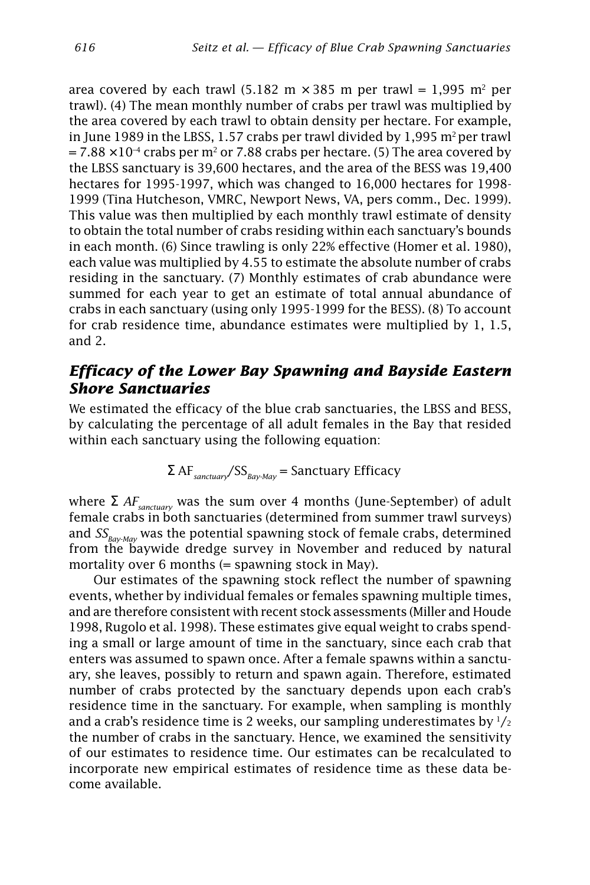area covered by each trawl (5.182 m  $\times$  385 m per trawl = 1,995 m<sup>2</sup> per trawl). (4) The mean monthly number of crabs per trawl was multiplied by the area covered by each trawl to obtain density per hectare. For example, in June 1989 in the LBSS, 1.57 crabs per trawl divided by 1,995  $m^2$  per trawl  $= 7.88 \times 10^{-4}$  crabs per m<sup>2</sup> or 7.88 crabs per hectare. (5) The area covered by the LBSS sanctuary is 39,600 hectares, and the area of the BESS was 19,400 hectares for 1995-1997, which was changed to 16,000 hectares for 1998- 1999 (Tina Hutcheson, VMRC, Newport News, VA, pers comm., Dec. 1999). This value was then multiplied by each monthly trawl estimate of density to obtain the total number of crabs residing within each sanctuary's bounds in each month. (6) Since trawling is only 22% effective (Homer et al. 1980), each value was multiplied by 4.55 to estimate the absolute number of crabs residing in the sanctuary. (7) Monthly estimates of crab abundance were summed for each year to get an estimate of total annual abundance of crabs in each sanctuary (using only 1995-1999 for the BESS). (8) To account for crab residence time, abundance estimates were multiplied by 1, 1.5, and 2.

### *Efficacy of the Lower Bay Spawning and Bayside Eastern Shore Sanctuaries*

We estimated the efficacy of the blue crab sanctuaries, the LBSS and BESS, by calculating the percentage of all adult females in the Bay that resided within each sanctuary using the following equation:

$$
\Sigma
$$
 AF<sub>*sanctuary*</sub>/SS<sub>*Bay-May*</sub> = *Sanctuary Efficiency*

where  $\Sigma$  *AF*<sub>sanctuary</sub> was the sum over 4 months (June-September) of adult female crabs in both sanctuaries (determined from summer trawl surveys) and  $SS_{\text{Bay-Mav}}$  was the potential spawning stock of female crabs, determined from the baywide dredge survey in November and reduced by natural mortality over  $6$  months  $(=$  spawning stock in May).

Our estimates of the spawning stock reflect the number of spawning events, whether by individual females or females spawning multiple times, and are therefore consistent with recent stock assessments (Miller and Houde 1998, Rugolo et al. 1998). These estimates give equal weight to crabs spending a small or large amount of time in the sanctuary, since each crab that enters was assumed to spawn once. After a female spawns within a sanctuary, she leaves, possibly to return and spawn again. Therefore, estimated number of crabs protected by the sanctuary depends upon each crab's residence time in the sanctuary. For example, when sampling is monthly and a crab's residence time is 2 weeks, our sampling underestimates by  $\frac{1}{2}$ the number of crabs in the sanctuary. Hence, we examined the sensitivity of our estimates to residence time. Our estimates can be recalculated to incorporate new empirical estimates of residence time as these data become available.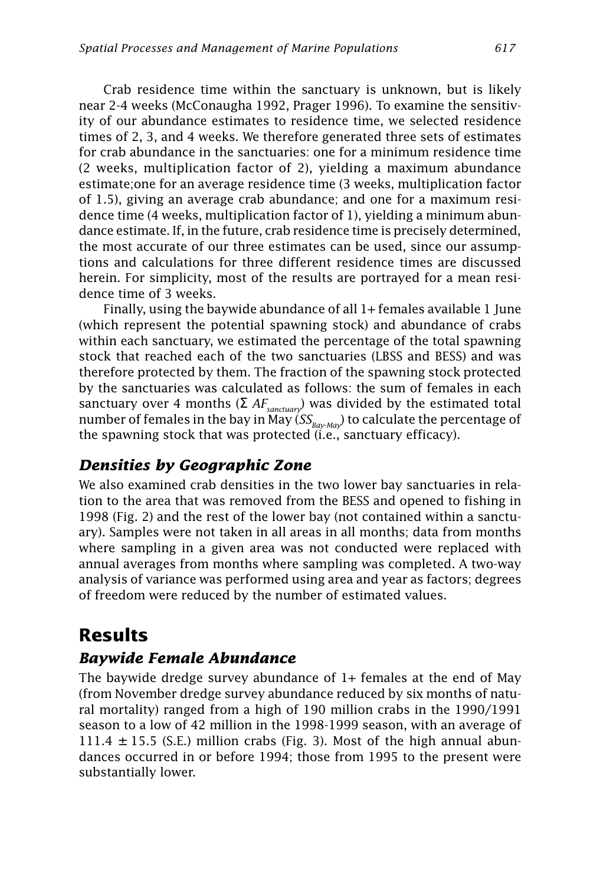Crab residence time within the sanctuary is unknown, but is likely near 2-4 weeks (McConaugha 1992, Prager 1996). To examine the sensitivity of our abundance estimates to residence time, we selected residence times of 2, 3, and 4 weeks. We therefore generated three sets of estimates for crab abundance in the sanctuaries: one for a minimum residence time (2 weeks, multiplication factor of 2), yielding a maximum abundance estimate;one for an average residence time (3 weeks, multiplication factor of 1.5), giving an average crab abundance; and one for a maximum residence time (4 weeks, multiplication factor of 1), yielding a minimum abundance estimate. If, in the future, crab residence time is precisely determined, the most accurate of our three estimates can be used, since our assumptions and calculations for three different residence times are discussed herein. For simplicity, most of the results are portrayed for a mean residence time of 3 weeks.

Finally, using the baywide abundance of all 1+ females available 1 June (which represent the potential spawning stock) and abundance of crabs within each sanctuary, we estimated the percentage of the total spawning stock that reached each of the two sanctuaries (LBSS and BESS) and was therefore protected by them. The fraction of the spawning stock protected by the sanctuaries was calculated as follows: the sum of females in each sanctuary over 4 months ( $\Sigma$  *AF<sub>sanctuary*</sub>) was divided by the estimated total number of females in the bay in May  $(SS_{\text{Bar-Mav}})$  to calculate the percentage of the spawning stock that was protected (i.e., sanctuary efficacy).

### *Densities by Geographic Zone*

We also examined crab densities in the two lower bay sanctuaries in relation to the area that was removed from the BESS and opened to fishing in 1998 (Fig. 2) and the rest of the lower bay (not contained within a sanctuary). Samples were not taken in all areas in all months; data from months where sampling in a given area was not conducted were replaced with annual averages from months where sampling was completed. A two-way analysis of variance was performed using area and year as factors; degrees of freedom were reduced by the number of estimated values.

## **Results**

## *Baywide Female Abundance*

The baywide dredge survey abundance of 1+ females at the end of May (from November dredge survey abundance reduced by six months of natural mortality) ranged from a high of 190 million crabs in the 1990/1991 season to a low of 42 million in the 1998-1999 season, with an average of  $111.4 \pm 15.5$  (S.E.) million crabs (Fig. 3). Most of the high annual abundances occurred in or before 1994; those from 1995 to the present were substantially lower.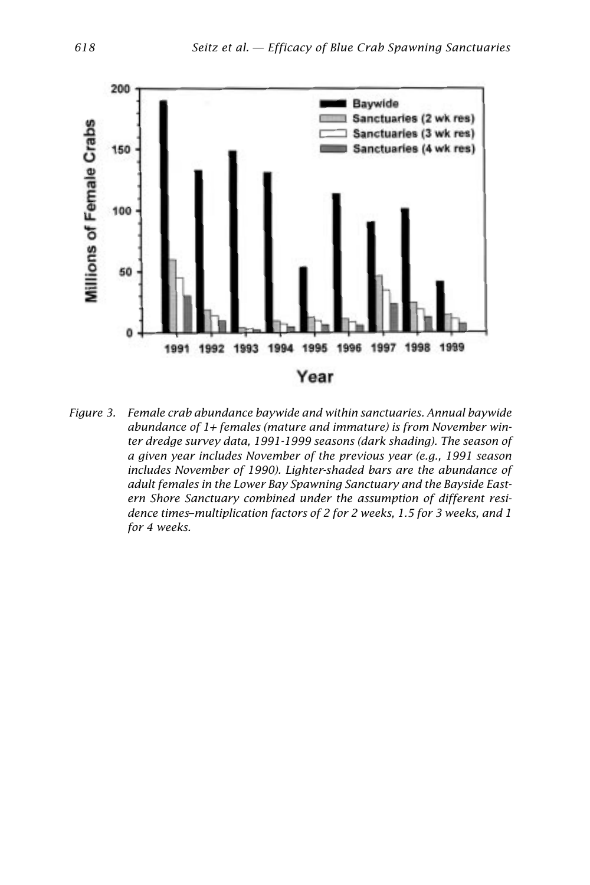

*Figure 3. Female crab abundance baywide and within sanctuaries. Annual baywide abundance of 1+ females (mature and immature) is from November winter dredge survey data, 1991-1999 seasons (dark shading). The season of a given year includes November of the previous year (e.g., 1991 season includes November of 1990). Lighter-shaded bars are the abundance of adult females in the Lower Bay Spawning Sanctuary and the Bayside Eastern Shore Sanctuary combined under the assumption of different residence times–multiplication factors of 2 for 2 weeks, 1.5 for 3 weeks, and 1 for 4 weeks.*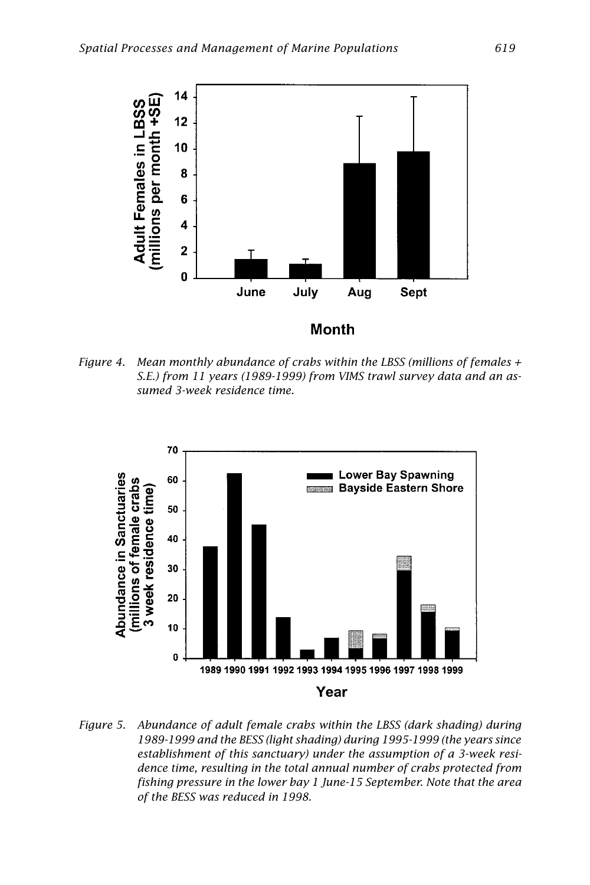

*Figure 4. Mean monthly abundance of crabs within the LBSS (millions of females + S.E.) from 11 years (1989-1999) from VIMS trawl survey data and an assumed 3-week residence time.*



*Figure 5. Abundance of adult female crabs within the LBSS (dark shading) during 1989-1999 and the BESS (light shading) during 1995-1999 (the years since establishment of this sanctuary) under the assumption of a 3-week residence time, resulting in the total annual number of crabs protected from fishing pressure in the lower bay 1 June-15 September. Note that the area of the BESS was reduced in 1998.*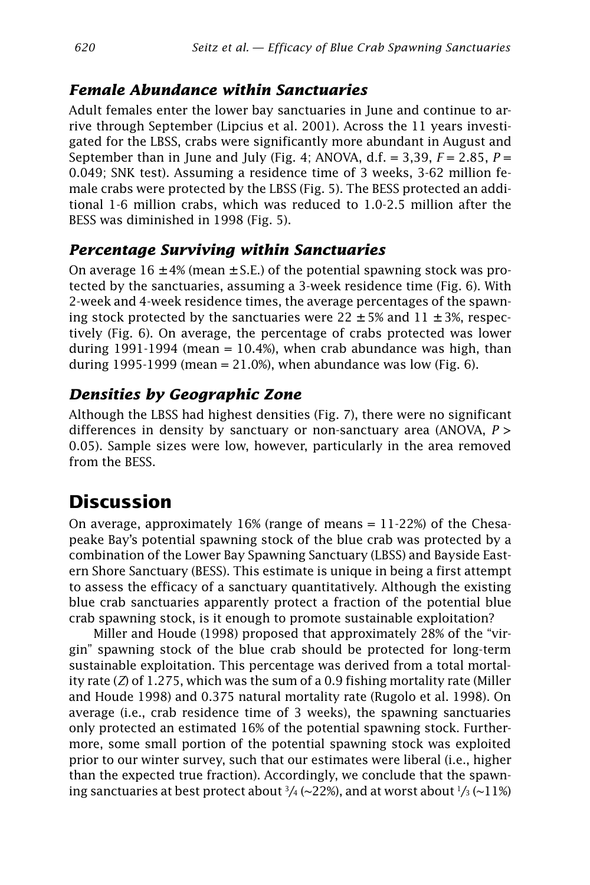## *Female Abundance within Sanctuaries*

Adult females enter the lower bay sanctuaries in June and continue to arrive through September (Lipcius et al. 2001). Across the 11 years investigated for the LBSS, crabs were significantly more abundant in August and September than in June and July (Fig. 4; ANOVA,  $d.f. = 3,39, F = 2.85, P =$ 0.049; SNK test). Assuming a residence time of 3 weeks, 3-62 million female crabs were protected by the LBSS (Fig. 5). The BESS protected an additional 1-6 million crabs, which was reduced to 1.0-2.5 million after the BESS was diminished in 1998 (Fig. 5).

## *Percentage Surviving within Sanctuaries*

On average  $16 \pm 4\%$  (mean  $\pm$  S.E.) of the potential spawning stock was protected by the sanctuaries, assuming a 3-week residence time (Fig. 6). With 2-week and 4-week residence times, the average percentages of the spawning stock protected by the sanctuaries were  $22 \pm 5\%$  and  $11 \pm 3\%$ , respectively (Fig. 6). On average, the percentage of crabs protected was lower during 1991-1994 (mean  $= 10.4\%$ ), when crab abundance was high, than during 1995-1999 (mean =  $21.0\%$ ), when abundance was low (Fig. 6).

## *Densities by Geographic Zone*

Although the LBSS had highest densities (Fig. 7), there were no significant differences in density by sanctuary or non-sanctuary area (ANOVA, *P* > 0.05). Sample sizes were low, however, particularly in the area removed from the BESS.

## **Discussion**

On average, approximately  $16%$  (range of means =  $11-22%$ ) of the Chesapeake Bay's potential spawning stock of the blue crab was protected by a combination of the Lower Bay Spawning Sanctuary (LBSS) and Bayside Eastern Shore Sanctuary (BESS). This estimate is unique in being a first attempt to assess the efficacy of a sanctuary quantitatively. Although the existing blue crab sanctuaries apparently protect a fraction of the potential blue crab spawning stock, is it enough to promote sustainable exploitation?

Miller and Houde (1998) proposed that approximately 28% of the "virgin" spawning stock of the blue crab should be protected for long-term sustainable exploitation. This percentage was derived from a total mortality rate (*Z*) of 1.275, which was the sum of a 0.9 fishing mortality rate (Miller and Houde 1998) and 0.375 natural mortality rate (Rugolo et al. 1998). On average (i.e., crab residence time of 3 weeks), the spawning sanctuaries only protected an estimated 16% of the potential spawning stock. Furthermore, some small portion of the potential spawning stock was exploited prior to our winter survey, such that our estimates were liberal (i.e., higher than the expected true fraction). Accordingly, we conclude that the spawning sanctuaries at best protect about  $^3\!/\!$  (~22%), and at worst about  $^1\!/\!_3$  (~ $11\%)$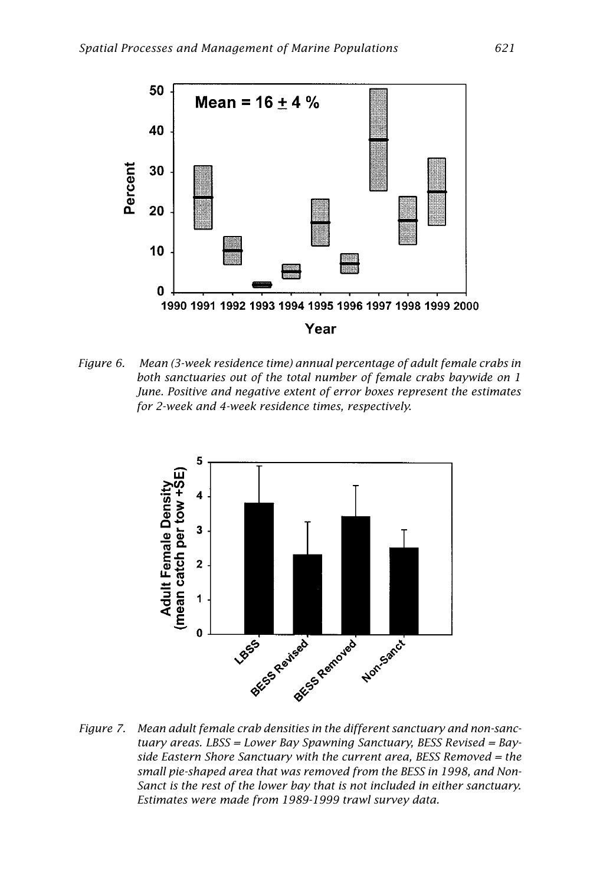

*Figure 6. Mean (3-week residence time) annual percentage of adult female crabs in both sanctuaries out of the total number of female crabs baywide on 1 June. Positive and negative extent of error boxes represent the estimates for 2-week and 4-week residence times, respectively.*



*Figure 7. Mean adult female crab densities in the different sanctuary and non-sanctuary areas. LBSS = Lower Bay Spawning Sanctuary, BESS Revised = Bayside Eastern Shore Sanctuary with the current area, BESS Removed = the small pie-shaped area that was removed from the BESS in 1998, and Non-Sanct is the rest of the lower bay that is not included in either sanctuary. Estimates were made from 1989-1999 trawl survey data.*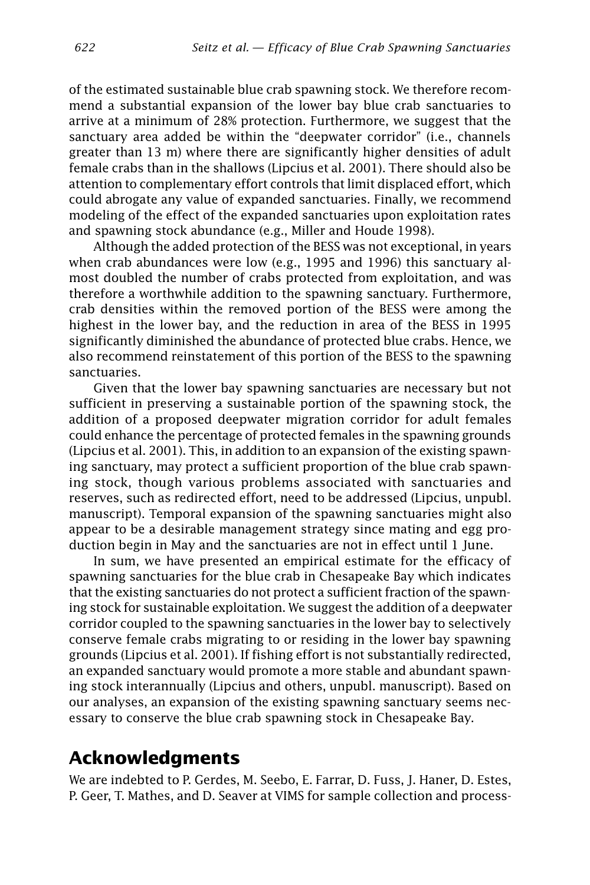of the estimated sustainable blue crab spawning stock. We therefore recommend a substantial expansion of the lower bay blue crab sanctuaries to arrive at a minimum of 28% protection. Furthermore, we suggest that the sanctuary area added be within the "deepwater corridor" (i.e., channels greater than 13 m) where there are significantly higher densities of adult female crabs than in the shallows (Lipcius et al. 2001). There should also be attention to complementary effort controls that limit displaced effort, which could abrogate any value of expanded sanctuaries. Finally, we recommend modeling of the effect of the expanded sanctuaries upon exploitation rates and spawning stock abundance (e.g., Miller and Houde 1998).

Although the added protection of the BESS was not exceptional, in years when crab abundances were low (e.g., 1995 and 1996) this sanctuary almost doubled the number of crabs protected from exploitation, and was therefore a worthwhile addition to the spawning sanctuary. Furthermore, crab densities within the removed portion of the BESS were among the highest in the lower bay, and the reduction in area of the BESS in 1995 significantly diminished the abundance of protected blue crabs. Hence, we also recommend reinstatement of this portion of the BESS to the spawning sanctuaries.

Given that the lower bay spawning sanctuaries are necessary but not sufficient in preserving a sustainable portion of the spawning stock, the addition of a proposed deepwater migration corridor for adult females could enhance the percentage of protected females in the spawning grounds (Lipcius et al. 2001). This, in addition to an expansion of the existing spawning sanctuary, may protect a sufficient proportion of the blue crab spawning stock, though various problems associated with sanctuaries and reserves, such as redirected effort, need to be addressed (Lipcius, unpubl. manuscript). Temporal expansion of the spawning sanctuaries might also appear to be a desirable management strategy since mating and egg production begin in May and the sanctuaries are not in effect until 1 June.

In sum, we have presented an empirical estimate for the efficacy of spawning sanctuaries for the blue crab in Chesapeake Bay which indicates that the existing sanctuaries do not protect a sufficient fraction of the spawning stock for sustainable exploitation. We suggest the addition of a deepwater corridor coupled to the spawning sanctuaries in the lower bay to selectively conserve female crabs migrating to or residing in the lower bay spawning grounds (Lipcius et al. 2001). If fishing effort is not substantially redirected, an expanded sanctuary would promote a more stable and abundant spawning stock interannually (Lipcius and others, unpubl. manuscript). Based on our analyses, an expansion of the existing spawning sanctuary seems necessary to conserve the blue crab spawning stock in Chesapeake Bay.

## **Acknowledgments**

We are indebted to P. Gerdes, M. Seebo, E. Farrar, D. Fuss, J. Haner, D. Estes, P. Geer, T. Mathes, and D. Seaver at VIMS for sample collection and process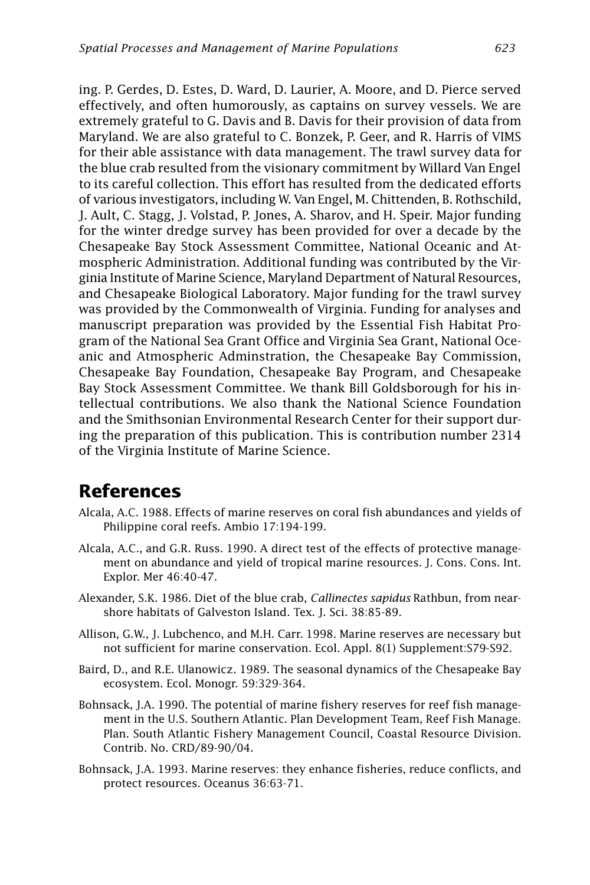ing. P. Gerdes, D. Estes, D. Ward, D. Laurier, A. Moore, and D. Pierce served effectively, and often humorously, as captains on survey vessels. We are extremely grateful to G. Davis and B. Davis for their provision of data from Maryland. We are also grateful to C. Bonzek, P. Geer, and R. Harris of VIMS for their able assistance with data management. The trawl survey data for the blue crab resulted from the visionary commitment by Willard Van Engel to its careful collection. This effort has resulted from the dedicated efforts of various investigators, including W. Van Engel, M. Chittenden, B. Rothschild, J. Ault, C. Stagg, J. Volstad, P. Jones, A. Sharov, and H. Speir. Major funding for the winter dredge survey has been provided for over a decade by the Chesapeake Bay Stock Assessment Committee, National Oceanic and Atmospheric Administration. Additional funding was contributed by the Virginia Institute of Marine Science, Maryland Department of Natural Resources, and Chesapeake Biological Laboratory. Major funding for the trawl survey was provided by the Commonwealth of Virginia. Funding for analyses and manuscript preparation was provided by the Essential Fish Habitat Program of the National Sea Grant Office and Virginia Sea Grant, National Oceanic and Atmospheric Adminstration, the Chesapeake Bay Commission, Chesapeake Bay Foundation, Chesapeake Bay Program, and Chesapeake Bay Stock Assessment Committee. We thank Bill Goldsborough for his intellectual contributions. We also thank the National Science Foundation and the Smithsonian Environmental Research Center for their support during the preparation of this publication. This is contribution number 2314 of the Virginia Institute of Marine Science.

## **References**

- Alcala, A.C. 1988. Effects of marine reserves on coral fish abundances and yields of Philippine coral reefs. Ambio 17:194-199.
- Alcala, A.C., and G.R. Russ. 1990. A direct test of the effects of protective management on abundance and yield of tropical marine resources. J. Cons. Cons. Int. Explor. Mer 46:40-47.
- Alexander, S.K. 1986. Diet of the blue crab, *Callinectes sapidus* Rathbun, from nearshore habitats of Galveston Island. Tex. J. Sci. 38:85-89.
- Allison, G.W., J. Lubchenco, and M.H. Carr. 1998. Marine reserves are necessary but not sufficient for marine conservation. Ecol. Appl. 8(1) Supplement:S79-S92.
- Baird, D., and R.E. Ulanowicz. 1989. The seasonal dynamics of the Chesapeake Bay ecosystem. Ecol. Monogr. 59:329-364.
- Bohnsack, J.A. 1990. The potential of marine fishery reserves for reef fish management in the U.S. Southern Atlantic. Plan Development Team, Reef Fish Manage. Plan. South Atlantic Fishery Management Council, Coastal Resource Division. Contrib. No. CRD/89-90/04.
- Bohnsack, J.A. 1993. Marine reserves: they enhance fisheries, reduce conflicts, and protect resources. Oceanus 36:63-71.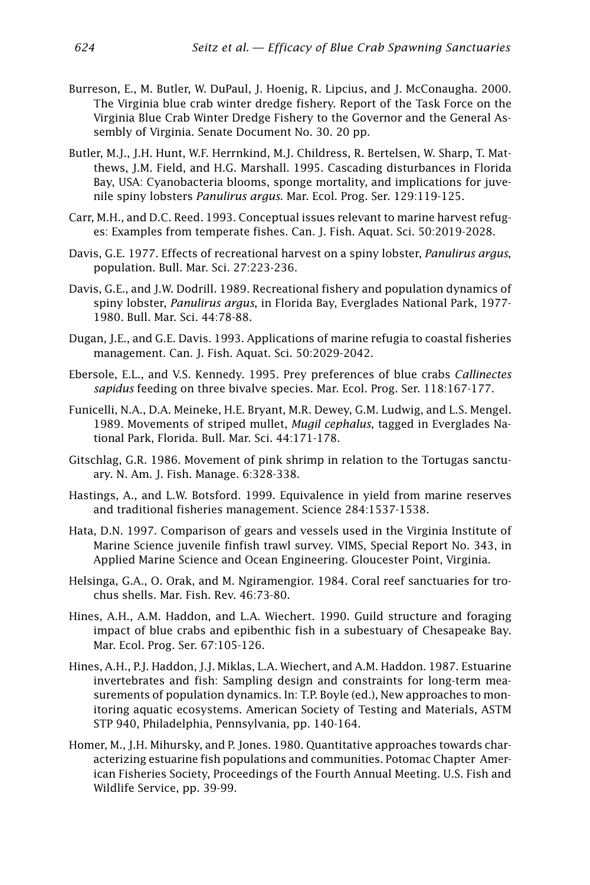- Burreson, E., M. Butler, W. DuPaul, J. Hoenig, R. Lipcius, and J. McConaugha. 2000. The Virginia blue crab winter dredge fishery. Report of the Task Force on the Virginia Blue Crab Winter Dredge Fishery to the Governor and the General Assembly of Virginia. Senate Document No. 30. 20 pp.
- Butler, M.J., J.H. Hunt, W.F. Herrnkind, M.J. Childress, R. Bertelsen, W. Sharp, T. Matthews, J.M. Field, and H.G. Marshall. 1995. Cascading disturbances in Florida Bay, USA: Cyanobacteria blooms, sponge mortality, and implications for juvenile spiny lobsters *Panulirus argus*. Mar. Ecol. Prog. Ser. 129:119-125.
- Carr, M.H., and D.C. Reed. 1993. Conceptual issues relevant to marine harvest refuges: Examples from temperate fishes. Can. J. Fish. Aquat. Sci. 50:2019-2028.
- Davis, G.E. 1977. Effects of recreational harvest on a spiny lobster, *Panulirus argus*, population. Bull. Mar. Sci. 27:223-236.
- Davis, G.E., and J.W. Dodrill. 1989. Recreational fishery and population dynamics of spiny lobster, *Panulirus argus*, in Florida Bay, Everglades National Park, 1977- 1980. Bull. Mar. Sci. 44:78-88.
- Dugan, J.E., and G.E. Davis. 1993. Applications of marine refugia to coastal fisheries management. Can. J. Fish. Aquat. Sci. 50:2029-2042.
- Ebersole, E.L., and V.S. Kennedy. 1995. Prey preferences of blue crabs *Callinectes sapidus* feeding on three bivalve species. Mar. Ecol. Prog. Ser. 118:167-177.
- Funicelli, N.A., D.A. Meineke, H.E. Bryant, M.R. Dewey, G.M. Ludwig, and L.S. Mengel. 1989. Movements of striped mullet, *Mugil cephalus*, tagged in Everglades National Park, Florida. Bull. Mar. Sci. 44:171-178.
- Gitschlag, G.R. 1986. Movement of pink shrimp in relation to the Tortugas sanctuary. N. Am. J. Fish. Manage. 6:328-338.
- Hastings, A., and L.W. Botsford. 1999. Equivalence in yield from marine reserves and traditional fisheries management. Science 284:1537-1538.
- Hata, D.N. 1997. Comparison of gears and vessels used in the Virginia Institute of Marine Science juvenile finfish trawl survey. VIMS, Special Report No. 343, in Applied Marine Science and Ocean Engineering. Gloucester Point, Virginia.
- Helsinga, G.A., O. Orak, and M. Ngiramengior. 1984. Coral reef sanctuaries for trochus shells. Mar. Fish. Rev. 46:73-80.
- Hines, A.H., A.M. Haddon, and L.A. Wiechert. 1990. Guild structure and foraging impact of blue crabs and epibenthic fish in a subestuary of Chesapeake Bay. Mar. Ecol. Prog. Ser. 67:105-126.
- Hines, A.H., P.J. Haddon, J.J. Miklas, L.A. Wiechert, and A.M. Haddon. 1987. Estuarine invertebrates and fish: Sampling design and constraints for long-term measurements of population dynamics. In: T.P. Boyle (ed.), New approaches to monitoring aquatic ecosystems. American Society of Testing and Materials, ASTM STP 940, Philadelphia, Pennsylvania, pp. 140-164.
- Homer, M., J.H. Mihursky, and P. Jones. 1980. Quantitative approaches towards characterizing estuarine fish populations and communities. Potomac Chapter American Fisheries Society, Proceedings of the Fourth Annual Meeting. U.S. Fish and Wildlife Service, pp. 39-99.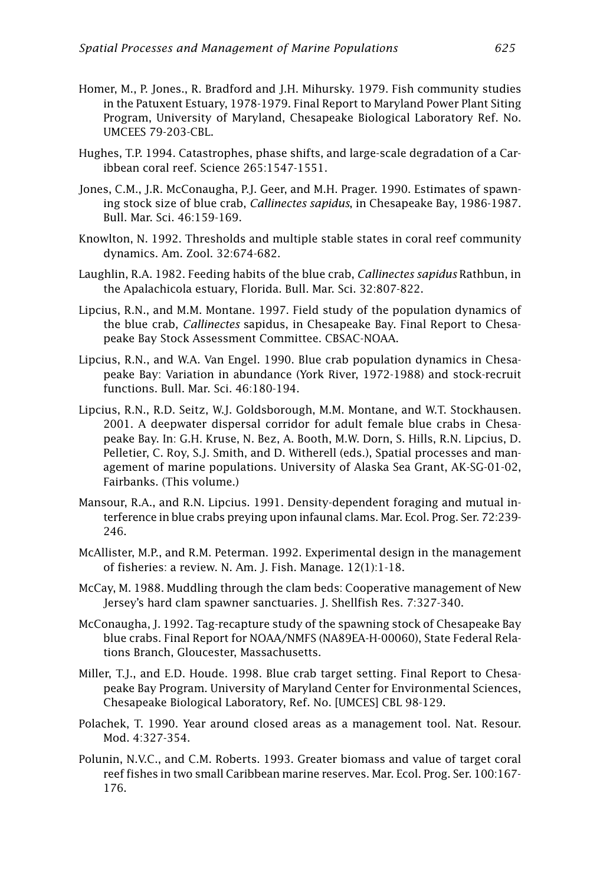- Homer, M., P. Jones., R. Bradford and J.H. Mihursky. 1979. Fish community studies in the Patuxent Estuary, 1978-1979. Final Report to Maryland Power Plant Siting Program, University of Maryland, Chesapeake Biological Laboratory Ref. No. UMCEES 79-203-CBL.
- Hughes, T.P. 1994. Catastrophes, phase shifts, and large-scale degradation of a Caribbean coral reef. Science 265:1547-1551.
- Jones, C.M., J.R. McConaugha, P.J. Geer, and M.H. Prager. 1990. Estimates of spawning stock size of blue crab, *Callinectes sapidus*, in Chesapeake Bay, 1986-1987. Bull. Mar. Sci. 46:159-169.
- Knowlton, N. 1992. Thresholds and multiple stable states in coral reef community dynamics. Am. Zool. 32:674-682.
- Laughlin, R.A. 1982. Feeding habits of the blue crab, *Callinectes sapidus* Rathbun, in the Apalachicola estuary, Florida. Bull. Mar. Sci. 32:807-822.
- Lipcius, R.N., and M.M. Montane. 1997. Field study of the population dynamics of the blue crab, *Callinectes* sapidus, in Chesapeake Bay. Final Report to Chesapeake Bay Stock Assessment Committee. CBSAC-NOAA.
- Lipcius, R.N., and W.A. Van Engel. 1990. Blue crab population dynamics in Chesapeake Bay: Variation in abundance (York River, 1972-1988) and stock-recruit functions. Bull. Mar. Sci. 46:180-194.
- Lipcius, R.N., R.D. Seitz, W.J. Goldsborough, M.M. Montane, and W.T. Stockhausen. 2001. A deepwater dispersal corridor for adult female blue crabs in Chesapeake Bay. In: G.H. Kruse, N. Bez, A. Booth, M.W. Dorn, S. Hills, R.N. Lipcius, D. Pelletier, C. Roy, S.J. Smith, and D. Witherell (eds.), Spatial processes and management of marine populations. University of Alaska Sea Grant, AK-SG-01-02, Fairbanks. (This volume.)
- Mansour, R.A., and R.N. Lipcius. 1991. Density-dependent foraging and mutual interference in blue crabs preying upon infaunal clams. Mar. Ecol. Prog. Ser. 72:239- 246.
- McAllister, M.P., and R.M. Peterman. 1992. Experimental design in the management of fisheries: a review. N. Am. J. Fish. Manage. 12(1):1-18.
- McCay, M. 1988. Muddling through the clam beds: Cooperative management of New Jersey's hard clam spawner sanctuaries. J. Shellfish Res. 7:327-340.
- McConaugha, J. 1992. Tag-recapture study of the spawning stock of Chesapeake Bay blue crabs. Final Report for NOAA/NMFS (NA89EA-H-00060), State Federal Relations Branch, Gloucester, Massachusetts.
- Miller, T.J., and E.D. Houde. 1998. Blue crab target setting. Final Report to Chesapeake Bay Program. University of Maryland Center for Environmental Sciences, Chesapeake Biological Laboratory, Ref. No. [UMCES] CBL 98-129.
- Polachek, T. 1990. Year around closed areas as a management tool. Nat. Resour. Mod. 4:327-354.
- Polunin, N.V.C., and C.M. Roberts. 1993. Greater biomass and value of target coral reef fishes in two small Caribbean marine reserves. Mar. Ecol. Prog. Ser. 100:167- 176.